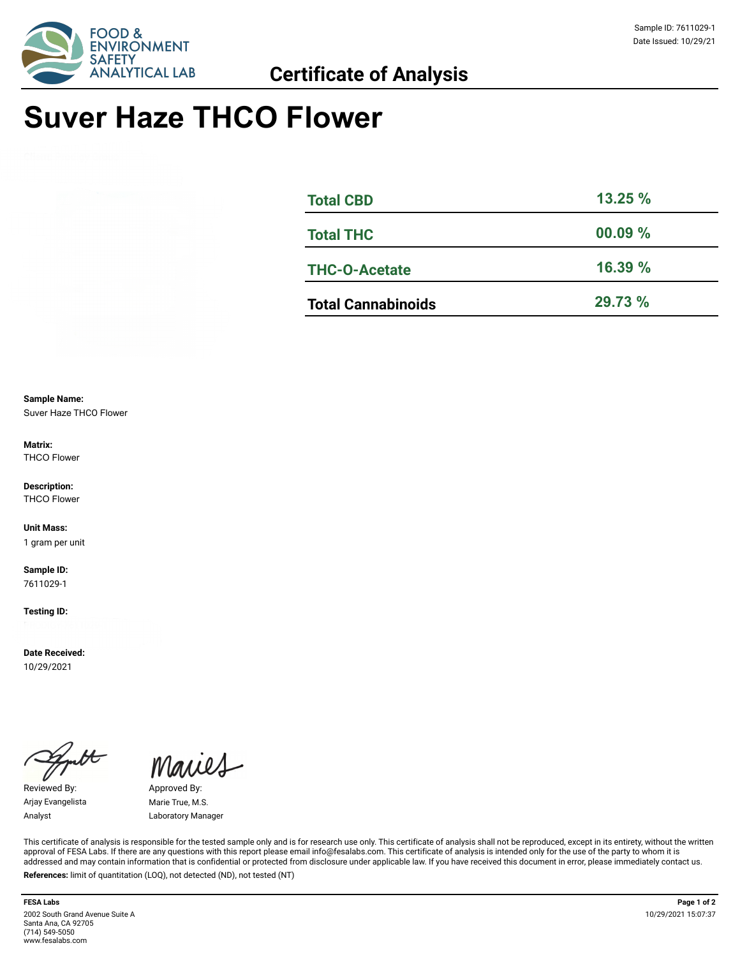

# **Suver Haze THCO Flower**

| <b>Total CBD</b>          | 13.25%     |
|---------------------------|------------|
| <b>Total THC</b>          | $00.09 \%$ |
| <b>THC-O-Acetate</b>      | 16.39%     |
| <b>Total Cannabinoids</b> | 29.73 %    |

**Sample Name:**  Suver Haze THCO Flower

**Matrix:** THCO Flower

**Description:** THCO Flower

**Unit Mass:**  1 gram per unit

**Sample ID:**  7611029-1

**Testing ID:** 

**Date Received:**  10/29/2021

Reviewed By: Approved By: Arjay Evangelista Marie True, M.S.

Maries

Analyst Laboratory Manager

This certificate of analysis is responsible for the tested sample only and is for research use only. This certificate of analysis shall not be reproduced, except in its entirety, without the written approval of FESA Labs. If there are any questions with this report please email info@fesalabs.com. This certificate of analysis is intended only for the use of the party to whom it is addressed and may contain information that is confidential or protected from disclosure under applicable law. If you have received this document in error, please immediately contact us. **References:** limit of quantitation (LOQ), not detected (ND), not tested (NT)

**FESA Labs Page 1 of 2** 2002 South Grand Avenue Suite A Santa Ana, CA 92705 (714) 549-5050 www.fesalabs.com